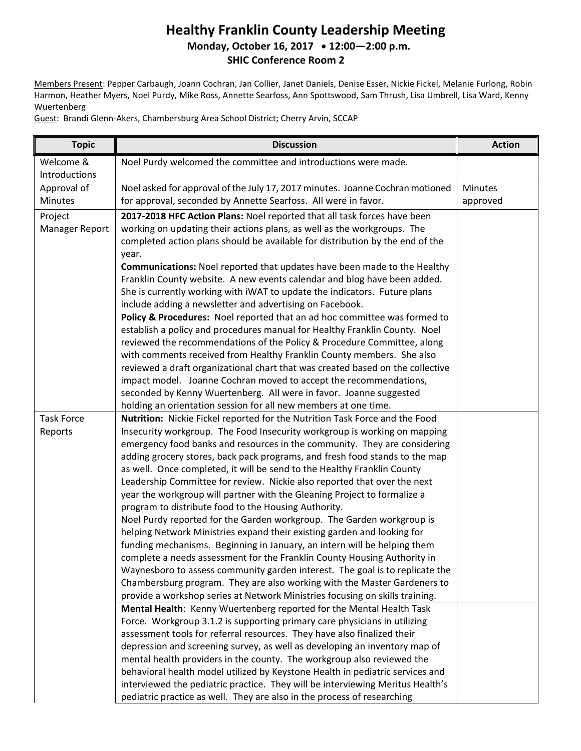## **Healthy Franklin County Leadership Meeting Monday, October 16, 2017 12:00—2:00 p.m. SHIC Conference Room 2**

Members Present: Pepper Carbaugh, Joann Cochran, Jan Collier, Janet Daniels, Denise Esser, Nickie Fickel, Melanie Furlong, Robin Harmon, Heather Myers, Noel Purdy, Mike Ross, Annette Searfoss, Ann Spottswood, Sam Thrush, Lisa Umbrell, Lisa Ward, Kenny Wuertenberg

Guest: Brandi Glenn-Akers, Chambersburg Area School District; Cherry Arvin, SCCAP

| <b>Topic</b>               | <b>Discussion</b>                                                                                                                                                                                                                                                                                                                                                                                                                                                                                                                                                                                                                                                                                                                                                                                                                                                                                                                                                                                                                                                                                                                                                                                                                                                                                                                                                                                                                                                                                                                                                                                                                                                                                                                                                                                                                                                                                                                                                                                                       | <b>Action</b>  |
|----------------------------|-------------------------------------------------------------------------------------------------------------------------------------------------------------------------------------------------------------------------------------------------------------------------------------------------------------------------------------------------------------------------------------------------------------------------------------------------------------------------------------------------------------------------------------------------------------------------------------------------------------------------------------------------------------------------------------------------------------------------------------------------------------------------------------------------------------------------------------------------------------------------------------------------------------------------------------------------------------------------------------------------------------------------------------------------------------------------------------------------------------------------------------------------------------------------------------------------------------------------------------------------------------------------------------------------------------------------------------------------------------------------------------------------------------------------------------------------------------------------------------------------------------------------------------------------------------------------------------------------------------------------------------------------------------------------------------------------------------------------------------------------------------------------------------------------------------------------------------------------------------------------------------------------------------------------------------------------------------------------------------------------------------------------|----------------|
| Welcome &<br>Introductions | Noel Purdy welcomed the committee and introductions were made.                                                                                                                                                                                                                                                                                                                                                                                                                                                                                                                                                                                                                                                                                                                                                                                                                                                                                                                                                                                                                                                                                                                                                                                                                                                                                                                                                                                                                                                                                                                                                                                                                                                                                                                                                                                                                                                                                                                                                          |                |
| Approval of                | Noel asked for approval of the July 17, 2017 minutes. Joanne Cochran motioned                                                                                                                                                                                                                                                                                                                                                                                                                                                                                                                                                                                                                                                                                                                                                                                                                                                                                                                                                                                                                                                                                                                                                                                                                                                                                                                                                                                                                                                                                                                                                                                                                                                                                                                                                                                                                                                                                                                                           | <b>Minutes</b> |
| <b>Minutes</b>             | for approval, seconded by Annette Searfoss. All were in favor.                                                                                                                                                                                                                                                                                                                                                                                                                                                                                                                                                                                                                                                                                                                                                                                                                                                                                                                                                                                                                                                                                                                                                                                                                                                                                                                                                                                                                                                                                                                                                                                                                                                                                                                                                                                                                                                                                                                                                          | approved       |
| Project                    | 2017-2018 HFC Action Plans: Noel reported that all task forces have been                                                                                                                                                                                                                                                                                                                                                                                                                                                                                                                                                                                                                                                                                                                                                                                                                                                                                                                                                                                                                                                                                                                                                                                                                                                                                                                                                                                                                                                                                                                                                                                                                                                                                                                                                                                                                                                                                                                                                |                |
| Manager Report             | working on updating their actions plans, as well as the workgroups. The                                                                                                                                                                                                                                                                                                                                                                                                                                                                                                                                                                                                                                                                                                                                                                                                                                                                                                                                                                                                                                                                                                                                                                                                                                                                                                                                                                                                                                                                                                                                                                                                                                                                                                                                                                                                                                                                                                                                                 |                |
|                            | completed action plans should be available for distribution by the end of the                                                                                                                                                                                                                                                                                                                                                                                                                                                                                                                                                                                                                                                                                                                                                                                                                                                                                                                                                                                                                                                                                                                                                                                                                                                                                                                                                                                                                                                                                                                                                                                                                                                                                                                                                                                                                                                                                                                                           |                |
|                            | year.                                                                                                                                                                                                                                                                                                                                                                                                                                                                                                                                                                                                                                                                                                                                                                                                                                                                                                                                                                                                                                                                                                                                                                                                                                                                                                                                                                                                                                                                                                                                                                                                                                                                                                                                                                                                                                                                                                                                                                                                                   |                |
|                            |                                                                                                                                                                                                                                                                                                                                                                                                                                                                                                                                                                                                                                                                                                                                                                                                                                                                                                                                                                                                                                                                                                                                                                                                                                                                                                                                                                                                                                                                                                                                                                                                                                                                                                                                                                                                                                                                                                                                                                                                                         |                |
|                            |                                                                                                                                                                                                                                                                                                                                                                                                                                                                                                                                                                                                                                                                                                                                                                                                                                                                                                                                                                                                                                                                                                                                                                                                                                                                                                                                                                                                                                                                                                                                                                                                                                                                                                                                                                                                                                                                                                                                                                                                                         |                |
|                            |                                                                                                                                                                                                                                                                                                                                                                                                                                                                                                                                                                                                                                                                                                                                                                                                                                                                                                                                                                                                                                                                                                                                                                                                                                                                                                                                                                                                                                                                                                                                                                                                                                                                                                                                                                                                                                                                                                                                                                                                                         |                |
|                            |                                                                                                                                                                                                                                                                                                                                                                                                                                                                                                                                                                                                                                                                                                                                                                                                                                                                                                                                                                                                                                                                                                                                                                                                                                                                                                                                                                                                                                                                                                                                                                                                                                                                                                                                                                                                                                                                                                                                                                                                                         |                |
|                            |                                                                                                                                                                                                                                                                                                                                                                                                                                                                                                                                                                                                                                                                                                                                                                                                                                                                                                                                                                                                                                                                                                                                                                                                                                                                                                                                                                                                                                                                                                                                                                                                                                                                                                                                                                                                                                                                                                                                                                                                                         |                |
|                            |                                                                                                                                                                                                                                                                                                                                                                                                                                                                                                                                                                                                                                                                                                                                                                                                                                                                                                                                                                                                                                                                                                                                                                                                                                                                                                                                                                                                                                                                                                                                                                                                                                                                                                                                                                                                                                                                                                                                                                                                                         |                |
|                            |                                                                                                                                                                                                                                                                                                                                                                                                                                                                                                                                                                                                                                                                                                                                                                                                                                                                                                                                                                                                                                                                                                                                                                                                                                                                                                                                                                                                                                                                                                                                                                                                                                                                                                                                                                                                                                                                                                                                                                                                                         |                |
|                            |                                                                                                                                                                                                                                                                                                                                                                                                                                                                                                                                                                                                                                                                                                                                                                                                                                                                                                                                                                                                                                                                                                                                                                                                                                                                                                                                                                                                                                                                                                                                                                                                                                                                                                                                                                                                                                                                                                                                                                                                                         |                |
|                            |                                                                                                                                                                                                                                                                                                                                                                                                                                                                                                                                                                                                                                                                                                                                                                                                                                                                                                                                                                                                                                                                                                                                                                                                                                                                                                                                                                                                                                                                                                                                                                                                                                                                                                                                                                                                                                                                                                                                                                                                                         |                |
|                            | seconded by Kenny Wuertenberg. All were in favor. Joanne suggested                                                                                                                                                                                                                                                                                                                                                                                                                                                                                                                                                                                                                                                                                                                                                                                                                                                                                                                                                                                                                                                                                                                                                                                                                                                                                                                                                                                                                                                                                                                                                                                                                                                                                                                                                                                                                                                                                                                                                      |                |
|                            | holding an orientation session for all new members at one time.                                                                                                                                                                                                                                                                                                                                                                                                                                                                                                                                                                                                                                                                                                                                                                                                                                                                                                                                                                                                                                                                                                                                                                                                                                                                                                                                                                                                                                                                                                                                                                                                                                                                                                                                                                                                                                                                                                                                                         |                |
| <b>Task Force</b>          | Nutrition: Nickie Fickel reported for the Nutrition Task Force and the Food                                                                                                                                                                                                                                                                                                                                                                                                                                                                                                                                                                                                                                                                                                                                                                                                                                                                                                                                                                                                                                                                                                                                                                                                                                                                                                                                                                                                                                                                                                                                                                                                                                                                                                                                                                                                                                                                                                                                             |                |
| Reports                    | Insecurity workgroup. The Food Insecurity workgroup is working on mapping                                                                                                                                                                                                                                                                                                                                                                                                                                                                                                                                                                                                                                                                                                                                                                                                                                                                                                                                                                                                                                                                                                                                                                                                                                                                                                                                                                                                                                                                                                                                                                                                                                                                                                                                                                                                                                                                                                                                               |                |
|                            |                                                                                                                                                                                                                                                                                                                                                                                                                                                                                                                                                                                                                                                                                                                                                                                                                                                                                                                                                                                                                                                                                                                                                                                                                                                                                                                                                                                                                                                                                                                                                                                                                                                                                                                                                                                                                                                                                                                                                                                                                         |                |
|                            |                                                                                                                                                                                                                                                                                                                                                                                                                                                                                                                                                                                                                                                                                                                                                                                                                                                                                                                                                                                                                                                                                                                                                                                                                                                                                                                                                                                                                                                                                                                                                                                                                                                                                                                                                                                                                                                                                                                                                                                                                         |                |
|                            |                                                                                                                                                                                                                                                                                                                                                                                                                                                                                                                                                                                                                                                                                                                                                                                                                                                                                                                                                                                                                                                                                                                                                                                                                                                                                                                                                                                                                                                                                                                                                                                                                                                                                                                                                                                                                                                                                                                                                                                                                         |                |
|                            |                                                                                                                                                                                                                                                                                                                                                                                                                                                                                                                                                                                                                                                                                                                                                                                                                                                                                                                                                                                                                                                                                                                                                                                                                                                                                                                                                                                                                                                                                                                                                                                                                                                                                                                                                                                                                                                                                                                                                                                                                         |                |
|                            |                                                                                                                                                                                                                                                                                                                                                                                                                                                                                                                                                                                                                                                                                                                                                                                                                                                                                                                                                                                                                                                                                                                                                                                                                                                                                                                                                                                                                                                                                                                                                                                                                                                                                                                                                                                                                                                                                                                                                                                                                         |                |
|                            |                                                                                                                                                                                                                                                                                                                                                                                                                                                                                                                                                                                                                                                                                                                                                                                                                                                                                                                                                                                                                                                                                                                                                                                                                                                                                                                                                                                                                                                                                                                                                                                                                                                                                                                                                                                                                                                                                                                                                                                                                         |                |
|                            |                                                                                                                                                                                                                                                                                                                                                                                                                                                                                                                                                                                                                                                                                                                                                                                                                                                                                                                                                                                                                                                                                                                                                                                                                                                                                                                                                                                                                                                                                                                                                                                                                                                                                                                                                                                                                                                                                                                                                                                                                         |                |
|                            |                                                                                                                                                                                                                                                                                                                                                                                                                                                                                                                                                                                                                                                                                                                                                                                                                                                                                                                                                                                                                                                                                                                                                                                                                                                                                                                                                                                                                                                                                                                                                                                                                                                                                                                                                                                                                                                                                                                                                                                                                         |                |
|                            |                                                                                                                                                                                                                                                                                                                                                                                                                                                                                                                                                                                                                                                                                                                                                                                                                                                                                                                                                                                                                                                                                                                                                                                                                                                                                                                                                                                                                                                                                                                                                                                                                                                                                                                                                                                                                                                                                                                                                                                                                         |                |
|                            | Waynesboro to assess community garden interest. The goal is to replicate the                                                                                                                                                                                                                                                                                                                                                                                                                                                                                                                                                                                                                                                                                                                                                                                                                                                                                                                                                                                                                                                                                                                                                                                                                                                                                                                                                                                                                                                                                                                                                                                                                                                                                                                                                                                                                                                                                                                                            |                |
|                            | Chambersburg program. They are also working with the Master Gardeners to                                                                                                                                                                                                                                                                                                                                                                                                                                                                                                                                                                                                                                                                                                                                                                                                                                                                                                                                                                                                                                                                                                                                                                                                                                                                                                                                                                                                                                                                                                                                                                                                                                                                                                                                                                                                                                                                                                                                                |                |
|                            | provide a workshop series at Network Ministries focusing on skills training.                                                                                                                                                                                                                                                                                                                                                                                                                                                                                                                                                                                                                                                                                                                                                                                                                                                                                                                                                                                                                                                                                                                                                                                                                                                                                                                                                                                                                                                                                                                                                                                                                                                                                                                                                                                                                                                                                                                                            |                |
|                            | Mental Health: Kenny Wuertenberg reported for the Mental Health Task                                                                                                                                                                                                                                                                                                                                                                                                                                                                                                                                                                                                                                                                                                                                                                                                                                                                                                                                                                                                                                                                                                                                                                                                                                                                                                                                                                                                                                                                                                                                                                                                                                                                                                                                                                                                                                                                                                                                                    |                |
|                            | Force. Workgroup 3.1.2 is supporting primary care physicians in utilizing                                                                                                                                                                                                                                                                                                                                                                                                                                                                                                                                                                                                                                                                                                                                                                                                                                                                                                                                                                                                                                                                                                                                                                                                                                                                                                                                                                                                                                                                                                                                                                                                                                                                                                                                                                                                                                                                                                                                               |                |
|                            |                                                                                                                                                                                                                                                                                                                                                                                                                                                                                                                                                                                                                                                                                                                                                                                                                                                                                                                                                                                                                                                                                                                                                                                                                                                                                                                                                                                                                                                                                                                                                                                                                                                                                                                                                                                                                                                                                                                                                                                                                         |                |
|                            |                                                                                                                                                                                                                                                                                                                                                                                                                                                                                                                                                                                                                                                                                                                                                                                                                                                                                                                                                                                                                                                                                                                                                                                                                                                                                                                                                                                                                                                                                                                                                                                                                                                                                                                                                                                                                                                                                                                                                                                                                         |                |
|                            |                                                                                                                                                                                                                                                                                                                                                                                                                                                                                                                                                                                                                                                                                                                                                                                                                                                                                                                                                                                                                                                                                                                                                                                                                                                                                                                                                                                                                                                                                                                                                                                                                                                                                                                                                                                                                                                                                                                                                                                                                         |                |
|                            |                                                                                                                                                                                                                                                                                                                                                                                                                                                                                                                                                                                                                                                                                                                                                                                                                                                                                                                                                                                                                                                                                                                                                                                                                                                                                                                                                                                                                                                                                                                                                                                                                                                                                                                                                                                                                                                                                                                                                                                                                         |                |
|                            |                                                                                                                                                                                                                                                                                                                                                                                                                                                                                                                                                                                                                                                                                                                                                                                                                                                                                                                                                                                                                                                                                                                                                                                                                                                                                                                                                                                                                                                                                                                                                                                                                                                                                                                                                                                                                                                                                                                                                                                                                         |                |
|                            | Communications: Noel reported that updates have been made to the Healthy<br>Franklin County website. A new events calendar and blog have been added.<br>She is currently working with iWAT to update the indicators. Future plans<br>include adding a newsletter and advertising on Facebook.<br>Policy & Procedures: Noel reported that an ad hoc committee was formed to<br>establish a policy and procedures manual for Healthy Franklin County. Noel<br>reviewed the recommendations of the Policy & Procedure Committee, along<br>with comments received from Healthy Franklin County members. She also<br>reviewed a draft organizational chart that was created based on the collective<br>impact model. Joanne Cochran moved to accept the recommendations,<br>emergency food banks and resources in the community. They are considering<br>adding grocery stores, back pack programs, and fresh food stands to the map<br>as well. Once completed, it will be send to the Healthy Franklin County<br>Leadership Committee for review. Nickie also reported that over the next<br>year the workgroup will partner with the Gleaning Project to formalize a<br>program to distribute food to the Housing Authority.<br>Noel Purdy reported for the Garden workgroup. The Garden workgroup is<br>helping Network Ministries expand their existing garden and looking for<br>funding mechanisms. Beginning in January, an intern will be helping them<br>complete a needs assessment for the Franklin County Housing Authority in<br>assessment tools for referral resources. They have also finalized their<br>depression and screening survey, as well as developing an inventory map of<br>mental health providers in the county. The workgroup also reviewed the<br>behavioral health model utilized by Keystone Health in pediatric services and<br>interviewed the pediatric practice. They will be interviewing Meritus Health's<br>pediatric practice as well. They are also in the process of researching |                |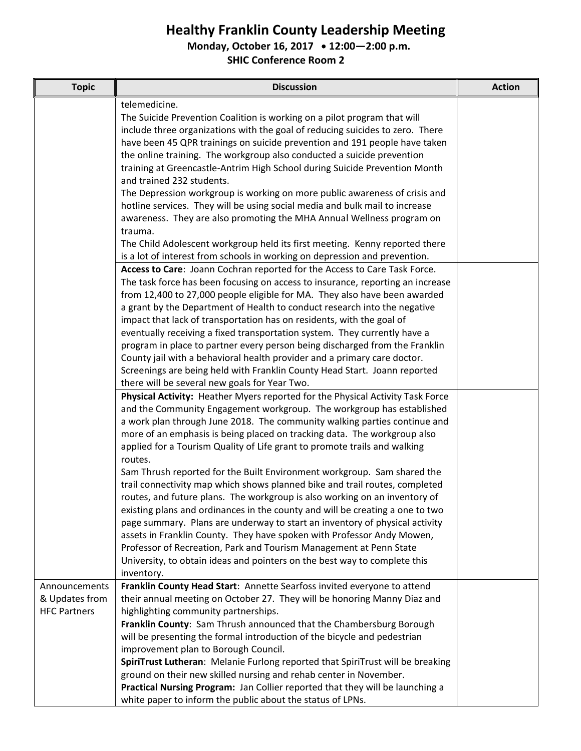## **Healthy Franklin County Leadership Meeting**

**Monday, October 16, 2017 12:00—2:00 p.m.**

**SHIC Conference Room 2**

| <b>Topic</b>                    | <b>Discussion</b>                                                                                                                                                                                                                                                                                                                                                                             | <b>Action</b> |
|---------------------------------|-----------------------------------------------------------------------------------------------------------------------------------------------------------------------------------------------------------------------------------------------------------------------------------------------------------------------------------------------------------------------------------------------|---------------|
|                                 | telemedicine.<br>The Suicide Prevention Coalition is working on a pilot program that will<br>include three organizations with the goal of reducing suicides to zero. There<br>have been 45 QPR trainings on suicide prevention and 191 people have taken                                                                                                                                      |               |
|                                 | the online training. The workgroup also conducted a suicide prevention<br>training at Greencastle-Antrim High School during Suicide Prevention Month                                                                                                                                                                                                                                          |               |
|                                 | and trained 232 students.<br>The Depression workgroup is working on more public awareness of crisis and                                                                                                                                                                                                                                                                                       |               |
|                                 | hotline services. They will be using social media and bulk mail to increase<br>awareness. They are also promoting the MHA Annual Wellness program on                                                                                                                                                                                                                                          |               |
|                                 | trauma.                                                                                                                                                                                                                                                                                                                                                                                       |               |
|                                 | The Child Adolescent workgroup held its first meeting. Kenny reported there<br>is a lot of interest from schools in working on depression and prevention.                                                                                                                                                                                                                                     |               |
|                                 | Access to Care: Joann Cochran reported for the Access to Care Task Force.                                                                                                                                                                                                                                                                                                                     |               |
|                                 | The task force has been focusing on access to insurance, reporting an increase<br>from 12,400 to 27,000 people eligible for MA. They also have been awarded                                                                                                                                                                                                                                   |               |
|                                 | a grant by the Department of Health to conduct research into the negative                                                                                                                                                                                                                                                                                                                     |               |
|                                 | impact that lack of transportation has on residents, with the goal of<br>eventually receiving a fixed transportation system. They currently have a                                                                                                                                                                                                                                            |               |
|                                 | program in place to partner every person being discharged from the Franklin<br>County jail with a behavioral health provider and a primary care doctor.                                                                                                                                                                                                                                       |               |
|                                 | Screenings are being held with Franklin County Head Start. Joann reported<br>there will be several new goals for Year Two.                                                                                                                                                                                                                                                                    |               |
|                                 | Physical Activity: Heather Myers reported for the Physical Activity Task Force<br>and the Community Engagement workgroup. The workgroup has established<br>a work plan through June 2018. The community walking parties continue and<br>more of an emphasis is being placed on tracking data. The workgroup also<br>applied for a Tourism Quality of Life grant to promote trails and walking |               |
|                                 | routes.<br>Sam Thrush reported for the Built Environment workgroup. Sam shared the<br>trail connectivity map which shows planned bike and trail routes, completed                                                                                                                                                                                                                             |               |
|                                 | routes, and future plans. The workgroup is also working on an inventory of                                                                                                                                                                                                                                                                                                                    |               |
|                                 | existing plans and ordinances in the county and will be creating a one to two<br>page summary. Plans are underway to start an inventory of physical activity                                                                                                                                                                                                                                  |               |
|                                 | assets in Franklin County. They have spoken with Professor Andy Mowen,                                                                                                                                                                                                                                                                                                                        |               |
|                                 | Professor of Recreation, Park and Tourism Management at Penn State<br>University, to obtain ideas and pointers on the best way to complete this                                                                                                                                                                                                                                               |               |
|                                 | inventory.                                                                                                                                                                                                                                                                                                                                                                                    |               |
| Announcements<br>& Updates from | Franklin County Head Start: Annette Searfoss invited everyone to attend<br>their annual meeting on October 27. They will be honoring Manny Diaz and                                                                                                                                                                                                                                           |               |
| <b>HFC Partners</b>             | highlighting community partnerships.                                                                                                                                                                                                                                                                                                                                                          |               |
|                                 | Franklin County: Sam Thrush announced that the Chambersburg Borough<br>will be presenting the formal introduction of the bicycle and pedestrian                                                                                                                                                                                                                                               |               |
|                                 | improvement plan to Borough Council.                                                                                                                                                                                                                                                                                                                                                          |               |
|                                 | SpiriTrust Lutheran: Melanie Furlong reported that SpiriTrust will be breaking                                                                                                                                                                                                                                                                                                                |               |
|                                 | ground on their new skilled nursing and rehab center in November.<br>Practical Nursing Program: Jan Collier reported that they will be launching a                                                                                                                                                                                                                                            |               |
|                                 | white paper to inform the public about the status of LPNs.                                                                                                                                                                                                                                                                                                                                    |               |